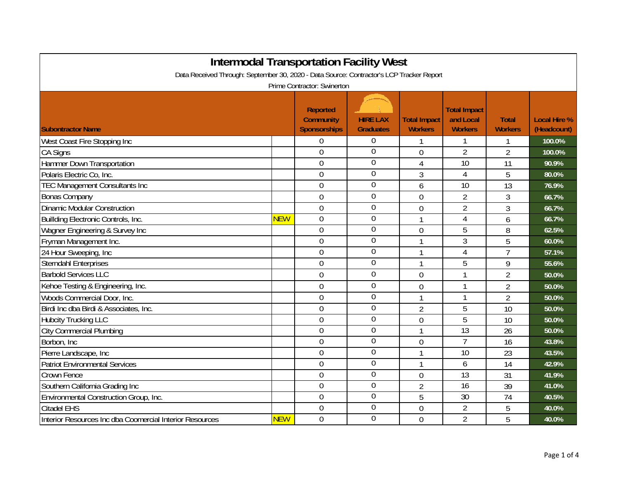| <b>Intermodal Transportation Facility West</b>                                           |            |                                              |                                     |                                       |                                                    |                                |                                    |  |  |
|------------------------------------------------------------------------------------------|------------|----------------------------------------------|-------------------------------------|---------------------------------------|----------------------------------------------------|--------------------------------|------------------------------------|--|--|
| Data Received Through: September 30, 2020 - Data Source: Contractor's LCP Tracker Report |            |                                              |                                     |                                       |                                                    |                                |                                    |  |  |
| Prime Contractor: Swinerton                                                              |            |                                              |                                     |                                       |                                                    |                                |                                    |  |  |
| <b>Subontractor Name</b>                                                                 |            | Reported<br><b>Community</b><br>Sponsorships | <b>HIRE LAX</b><br><b>Graduates</b> | <b>Total Impact</b><br><b>Workers</b> | <b>Total Impact</b><br>and Local<br><b>Workers</b> | <b>Total</b><br><b>Workers</b> | <b>Local Hire %</b><br>(Headcount) |  |  |
| West Coast Fire Stopping Inc                                                             |            | 0                                            | 0                                   |                                       |                                                    |                                | 100.0%                             |  |  |
| CA Signs                                                                                 |            | $\overline{0}$                               | $\overline{0}$                      | $\overline{0}$                        | $\overline{2}$                                     | $\overline{2}$                 | 100.0%                             |  |  |
| Hammer Down Transportation                                                               |            | $\overline{0}$                               | $\overline{0}$                      | 4                                     | 10                                                 | 11                             | 90.9%                              |  |  |
| Polaris Electric Co, Inc.                                                                |            | $\overline{0}$                               | $\overline{0}$                      | 3                                     | $\overline{4}$                                     | 5                              | 80.0%                              |  |  |
| <b>TEC Management Consultants Inc</b>                                                    |            | 0                                            | $\overline{0}$                      | 6                                     | 10                                                 | 13                             | 76.9%                              |  |  |
| <b>Bonas Company</b>                                                                     |            | 0                                            | $\boldsymbol{0}$                    | 0                                     | $\overline{2}$                                     | 3                              | 66.7%                              |  |  |
| <b>Dinamic Modular Construction</b>                                                      |            | 0                                            | $\overline{0}$                      | $\overline{0}$                        | $\overline{2}$                                     | 3                              | 66.7%                              |  |  |
| Buillding Electronic Controls, Inc.                                                      | <b>NEW</b> | $\mathbf 0$                                  | $\boldsymbol{0}$                    | 1                                     | 4                                                  | 6                              | 66.7%                              |  |  |
| Wagner Engineering & Survey Inc                                                          |            | 0                                            | $\mathbf 0$                         | $\overline{0}$                        | 5                                                  | 8                              | 62.5%                              |  |  |
| Fryman Management Inc.                                                                   |            | $\overline{0}$                               | $\boldsymbol{0}$                    | 1                                     | 3                                                  | 5                              | 60.0%                              |  |  |
| 24 Hour Sweeping, Inc                                                                    |            | 0                                            | $\overline{0}$                      | 1                                     | 4                                                  | $\overline{7}$                 | 57.1%                              |  |  |
| <b>Sterndahl Enterprises</b>                                                             |            | 0                                            | $\overline{0}$                      | $\mathbf{1}$                          | 5                                                  | 9                              | 55.6%                              |  |  |
| <b>Barbold Services LLC</b>                                                              |            | 0                                            | $\mathbf 0$                         | $\mathbf 0$                           |                                                    | $\overline{2}$                 | 50.0%                              |  |  |
| Kehoe Testing & Engineering, Inc.                                                        |            | $\mathbf 0$                                  | $\overline{0}$                      | $\overline{0}$                        | 1                                                  | $\overline{2}$                 | 50.0%                              |  |  |
| Woods Commercial Door, Inc.                                                              |            | 0                                            | $\overline{0}$                      | 1                                     |                                                    | $\overline{2}$                 | 50.0%                              |  |  |
| Birdi Inc dba Birdi & Associates, Inc.                                                   |            | 0                                            | $\boldsymbol{0}$                    | $\overline{2}$                        | 5                                                  | 10                             | 50.0%                              |  |  |
| <b>Hubcity Trucking LLC</b>                                                              |            | 0                                            | $\mathbf 0$                         | 0                                     | 5                                                  | 10                             | 50.0%                              |  |  |
| <b>City Commercial Plumbing</b>                                                          |            | $\overline{0}$                               | $\boldsymbol{0}$                    | 1                                     | 13                                                 | 26                             | 50.0%                              |  |  |
| Borbon, Inc.                                                                             |            | 0                                            | $\overline{0}$                      | $\overline{0}$                        | $\overline{1}$                                     | 16                             | 43.8%                              |  |  |
| Pierre Landscape, Inc                                                                    |            | $\mathbf 0$                                  | $\overline{0}$                      | $\mathbf{1}$                          | 10                                                 | 23                             | 43.5%                              |  |  |
| <b>Patriot Environmental Services</b>                                                    |            | 0                                            | $\boldsymbol{0}$                    | 1                                     | 6                                                  | 14                             | 42.9%                              |  |  |
| <b>Crown Fence</b>                                                                       |            | $\overline{0}$                               | $\overline{0}$                      | $\overline{0}$                        | 13                                                 | 31                             | 41.9%                              |  |  |
| Southern California Grading Inc                                                          |            | $\overline{0}$                               | $\overline{0}$                      | $\overline{2}$                        | 16                                                 | 39                             | 41.0%                              |  |  |
| Environmental Construction Group, Inc.                                                   |            | 0                                            | $\overline{0}$                      | 5                                     | $\overline{30}$                                    | 74                             | 40.5%                              |  |  |
| <b>Citadel EHS</b>                                                                       |            | 0                                            | $\mathbf 0$                         | $\overline{0}$                        | $\overline{2}$                                     | 5                              | 40.0%                              |  |  |
| Interior Resources Inc dba Coomercial Interior Resources                                 | <b>NEW</b> | $\mathbf 0$                                  | $\overline{0}$                      | 0                                     | $\overline{2}$                                     | 5                              | 40.0%                              |  |  |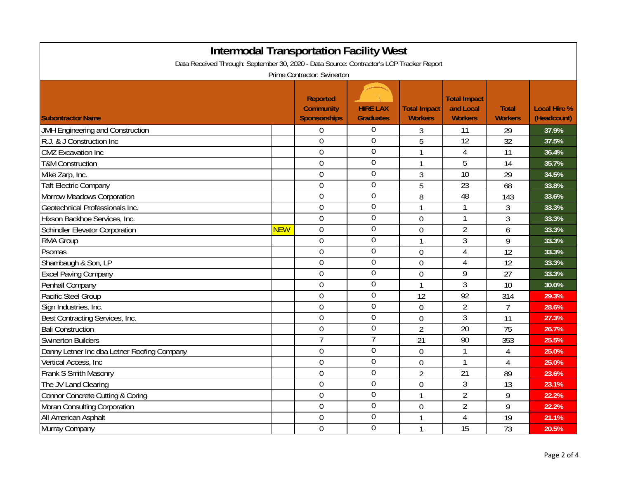| <b>Intermodal Transportation Facility West</b>                                           |            |                                                     |                                     |                                       |                                                    |                                |                                    |  |
|------------------------------------------------------------------------------------------|------------|-----------------------------------------------------|-------------------------------------|---------------------------------------|----------------------------------------------------|--------------------------------|------------------------------------|--|
| Data Received Through: September 30, 2020 - Data Source: Contractor's LCP Tracker Report |            |                                                     |                                     |                                       |                                                    |                                |                                    |  |
| Prime Contractor: Swinerton                                                              |            |                                                     |                                     |                                       |                                                    |                                |                                    |  |
| <b>Subontractor Name</b>                                                                 |            | <b>Reported</b><br><b>Community</b><br>Sponsorships | <b>HIRE LAX</b><br><b>Graduates</b> | <b>Total Impact</b><br><b>Workers</b> | <b>Total Impact</b><br>and Local<br><b>Workers</b> | <b>Total</b><br><b>Workers</b> | <b>Local Hire %</b><br>(Headcount) |  |
| JMH Engineering and Construction                                                         |            | 0                                                   | $\boldsymbol{0}$                    | 3                                     | 11                                                 | 29                             | 37.9%                              |  |
| R.J. & J Construction Inc                                                                |            | 0                                                   | $\boldsymbol{0}$                    | 5                                     | 12                                                 | 32                             | 37.5%                              |  |
| <b>CMZ</b> Excavation Inc                                                                |            | $\mathbf 0$                                         | $\overline{0}$                      | 1                                     | 4                                                  | 11                             | 36.4%                              |  |
| <b>T&amp;M Construction</b>                                                              |            | $\mathbf 0$                                         | $\overline{0}$                      | 1                                     | 5                                                  | 14                             | 35.7%                              |  |
| Mike Zarp, Inc.                                                                          |            | $\overline{0}$                                      | $\overline{0}$                      | $\overline{3}$                        | 10                                                 | 29                             | 34.5%                              |  |
| <b>Taft Electric Company</b>                                                             |            | $\overline{0}$                                      | $\mathbf 0$                         | 5                                     | $\overline{23}$                                    | 68                             | 33.8%                              |  |
| <b>Morrow Meadows Corporation</b>                                                        |            | $\overline{0}$                                      | $\overline{0}$                      | 8                                     | 48                                                 | 143                            | 33.6%                              |  |
| Geotechnical Professionals Inc.                                                          |            | $\mathbf 0$                                         | $\boldsymbol{0}$                    | $\mathbf{1}$                          | 1                                                  | 3                              | 33.3%                              |  |
| Hixson Backhoe Services, Inc.                                                            |            | $\overline{0}$                                      | $\overline{0}$                      | $\overline{0}$                        | 1                                                  | 3                              | 33.3%                              |  |
| <b>Schindler Elevator Corporation</b>                                                    | <b>NEW</b> | $\mathbf 0$                                         | $\boldsymbol{0}$                    | $\mathbf 0$                           | $\overline{2}$                                     | 6                              | 33.3%                              |  |
| RMA Group                                                                                |            | $\mathbf 0$                                         | $\overline{0}$                      | 1                                     | 3                                                  | 9                              | 33.3%                              |  |
| Psomas                                                                                   |            | $\overline{0}$                                      | $\boldsymbol{0}$                    | $\overline{0}$                        | $\overline{4}$                                     | 12                             | 33.3%                              |  |
| Shambaugh & Son, LP                                                                      |            | $\overline{0}$                                      | $\boldsymbol{0}$                    | $\overline{0}$                        | $\overline{4}$                                     | 12                             | 33.3%                              |  |
| <b>Excel Paving Company</b>                                                              |            | $\overline{0}$                                      | $\mathbf 0$                         | $\overline{0}$                        | 9                                                  | 27                             | 33.3%                              |  |
| Penhall Company                                                                          |            | $\mathbf 0$                                         | $\overline{0}$                      | 1                                     | $\mathfrak{Z}$                                     | 10                             | 30.0%                              |  |
| Pacific Steel Group                                                                      |            | $\mathbf 0$                                         | $\overline{0}$                      | 12                                    | $\overline{92}$                                    | 314                            | 29.3%                              |  |
| Sign Industries, Inc.                                                                    |            | $\mathbf 0$                                         | $\overline{0}$                      | $\mathbf 0$                           | $\overline{2}$                                     | $\overline{7}$                 | 28.6%                              |  |
| Best Contracting Services, Inc.                                                          |            | $\overline{0}$                                      | $\overline{0}$                      | $\overline{0}$                        | $\overline{3}$                                     | 11                             | 27.3%                              |  |
| <b>Bali Construction</b>                                                                 |            | $\mathbf 0$                                         | $\mathbf 0$                         | $\overline{2}$                        | 20                                                 | 75                             | 26.7%                              |  |
| <b>Swinerton Builders</b>                                                                |            | $\overline{7}$                                      | 7                                   | 21                                    | 90                                                 | 353                            | 25.5%                              |  |
| Danny Letner Inc dba Letner Roofing Company                                              |            | $\mathbf 0$                                         | $\overline{0}$                      | 0                                     | 1                                                  | $\overline{4}$                 | 25.0%                              |  |
| Vertical Access, Inc.                                                                    |            | $\mathbf 0$                                         | $\overline{0}$                      | $\overline{0}$                        | 1                                                  | $\overline{4}$                 | 25.0%                              |  |
| Frank S Smith Masonry                                                                    |            | $\mathbf 0$                                         | $\overline{0}$                      | $\overline{2}$                        | 21                                                 | 89                             | 23.6%                              |  |
| The JV Land Clearing                                                                     |            | $\mathbf 0$                                         | $\overline{0}$                      | $\overline{0}$                        | 3                                                  | 13                             | 23.1%                              |  |
| <b>Connor Concrete Cutting &amp; Coring</b>                                              |            | $\mathbf 0$                                         | $\overline{0}$                      | 1                                     | $\overline{2}$                                     | 9                              | 22.2%                              |  |
| Moran Consulting Corporation                                                             |            | $\overline{0}$                                      | $\overline{0}$                      | $\overline{0}$                        | $\overline{2}$                                     | 9                              | 22.2%                              |  |
| All American Asphalt                                                                     |            | $\mathbf 0$                                         | $\mathbf 0$                         | 1                                     | $\overline{4}$                                     | 19                             | 21.1%                              |  |
| Murray Company                                                                           |            | $\overline{0}$                                      | $\overline{0}$                      | $\mathbf{1}$                          | $\overline{15}$                                    | 73                             | 20.5%                              |  |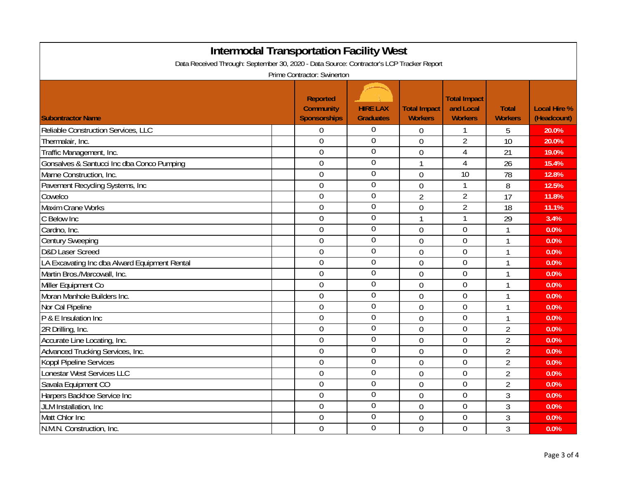| <b>Intermodal Transportation Facility West</b><br>Data Received Through: September 30, 2020 - Data Source: Contractor's LCP Tracker Report |                                                     |                                     |                                       |                                                    |                                |                                    |  |  |
|--------------------------------------------------------------------------------------------------------------------------------------------|-----------------------------------------------------|-------------------------------------|---------------------------------------|----------------------------------------------------|--------------------------------|------------------------------------|--|--|
| Prime Contractor: Swinerton                                                                                                                |                                                     |                                     |                                       |                                                    |                                |                                    |  |  |
| <b>Subontractor Name</b>                                                                                                                   | <b>Reported</b><br><b>Community</b><br>Sponsorships | <b>HIRE LAX</b><br><b>Graduates</b> | <b>Total Impact</b><br><b>Workers</b> | <b>Total Impact</b><br>and Local<br><b>Workers</b> | <b>Total</b><br><b>Workers</b> | <b>Local Hire %</b><br>(Headcount) |  |  |
| Reliable Construction Services, LLC                                                                                                        | $\boldsymbol{0}$                                    | $\boldsymbol{0}$                    | 0                                     | 1                                                  | 5                              | 20.0%                              |  |  |
| Thermalair, Inc.                                                                                                                           | $\mathbf 0$                                         | $\mathbf 0$                         | $\overline{0}$                        | $\overline{2}$                                     | 10                             | 20.0%                              |  |  |
| Traffic Management, Inc.                                                                                                                   | $\mathbf 0$                                         | $\overline{0}$                      | $\overline{0}$                        | $\overline{4}$                                     | 21                             | 19.0%                              |  |  |
| Gonsalves & Santucci Inc dba Conco Pumping                                                                                                 | $\mathbf 0$                                         | $\boldsymbol{0}$                    | $\mathbf{1}$                          | $\overline{4}$                                     | 26                             | 15.4%                              |  |  |
| Marne Construction, Inc.                                                                                                                   | $\overline{0}$                                      | $\overline{0}$                      | 0                                     | 10                                                 | 78                             | 12.8%                              |  |  |
| Pavement Recycling Systems, Inc                                                                                                            | $\overline{0}$                                      | $\overline{0}$                      | $\overline{0}$                        | 1                                                  | 8                              | 12.5%                              |  |  |
| Cowelco                                                                                                                                    | $\boldsymbol{0}$                                    | $\overline{0}$                      | $\overline{2}$                        | $\overline{2}$                                     | 17                             | 11.8%                              |  |  |
| <b>Maxim Crane Works</b>                                                                                                                   | $\overline{0}$                                      | $\overline{0}$                      | $\overline{0}$                        | $\overline{2}$                                     | 18                             | 11.1%                              |  |  |
| C Below Inc                                                                                                                                | $\overline{0}$                                      | $\boldsymbol{0}$                    | 1                                     | 1                                                  | 29                             | 3.4%                               |  |  |
| Cardno, Inc.                                                                                                                               | $\overline{0}$                                      | $\boldsymbol{0}$                    | $\overline{0}$                        | $\overline{0}$                                     | 1                              | 0.0%                               |  |  |
| <b>Century Sweeping</b>                                                                                                                    | $\overline{0}$                                      | $\boldsymbol{0}$                    | $\overline{0}$                        | $\overline{0}$                                     | 1                              | 0.0%                               |  |  |
| D&D Laser Screed                                                                                                                           | 0                                                   | $\boldsymbol{0}$                    | 0                                     | $\overline{0}$                                     | 1                              | 0.0%                               |  |  |
| LA Excavating Inc dba Alward Equipment Rental                                                                                              | $\overline{0}$                                      | $\boldsymbol{0}$                    | 0                                     | $\overline{0}$                                     | 1                              | 0.0%                               |  |  |
| Martin Bros./Marcowall, Inc.                                                                                                               | $\overline{0}$                                      | $\overline{0}$                      | $\overline{0}$                        | $\overline{0}$                                     | 1                              | 0.0%                               |  |  |
| Miller Equipment Co                                                                                                                        | $\overline{0}$                                      | $\mathbf 0$                         | $\overline{0}$                        | $\overline{0}$                                     | 1                              | 0.0%                               |  |  |
| Moran Manhole Builders Inc.                                                                                                                | $\boldsymbol{0}$                                    | $\overline{0}$                      | $\overline{0}$                        | $\overline{0}$                                     | 1                              | 0.0%                               |  |  |
| Nor Cal Pipeline                                                                                                                           | $\mathbf 0$                                         | $\overline{0}$                      | $\overline{0}$                        | $\overline{0}$                                     | 1                              | 0.0%                               |  |  |
| P & E Insulation Inc                                                                                                                       | $\boldsymbol{0}$                                    | $\overline{0}$                      | 0                                     | $\overline{0}$                                     | 1                              | 0.0%                               |  |  |
| 2R Drilling, Inc.                                                                                                                          | $\mathbf 0$                                         | $\mathbf 0$                         | $\overline{0}$                        | $\overline{0}$                                     | $\overline{2}$                 | 0.0%                               |  |  |
| Accurate Line Locating, Inc.                                                                                                               | $\mathbf 0$                                         | $\boldsymbol{0}$                    | 0                                     | $\overline{0}$                                     | $\overline{2}$                 | 0.0%                               |  |  |
| Advanced Trucking Services, Inc.                                                                                                           | 0                                                   | $\overline{0}$                      | $\overline{0}$                        | $\overline{0}$                                     | $\overline{2}$                 | 0.0%                               |  |  |
| <b>Koppl Pipeline Services</b>                                                                                                             | 0                                                   | $\boldsymbol{0}$                    | $\overline{0}$                        | $\overline{0}$                                     | $\overline{2}$                 | 0.0%                               |  |  |
| Lonestar West Services LLC                                                                                                                 | 0                                                   | $\overline{0}$                      | 0                                     | $\mathbf 0$                                        | $\overline{2}$                 | 0.0%                               |  |  |
| Savala Equipment CO                                                                                                                        | $\mathbf 0$                                         | $\overline{0}$                      | 0                                     | $\overline{0}$                                     | $\overline{2}$                 | 0.0%                               |  |  |
| Harpers Backhoe Service Inc                                                                                                                | $\boldsymbol{0}$                                    | $\overline{0}$                      | 0                                     | $\mathbf 0$                                        | 3                              | 0.0%                               |  |  |
| JLM Installation, Inc.                                                                                                                     | $\boldsymbol{0}$                                    | $\overline{0}$                      | $\overline{0}$                        | $\overline{0}$                                     | $\mathfrak{Z}$                 | 0.0%                               |  |  |
| Matt Chlor Inc                                                                                                                             | $\boldsymbol{0}$                                    | $\mathbf 0$                         | 0                                     | 0                                                  | 3                              | 0.0%                               |  |  |
| N.M.N. Construction, Inc.                                                                                                                  | $\overline{0}$                                      | $\overline{0}$                      | $\overline{0}$                        | $\overline{0}$                                     | 3                              | 0.0%                               |  |  |